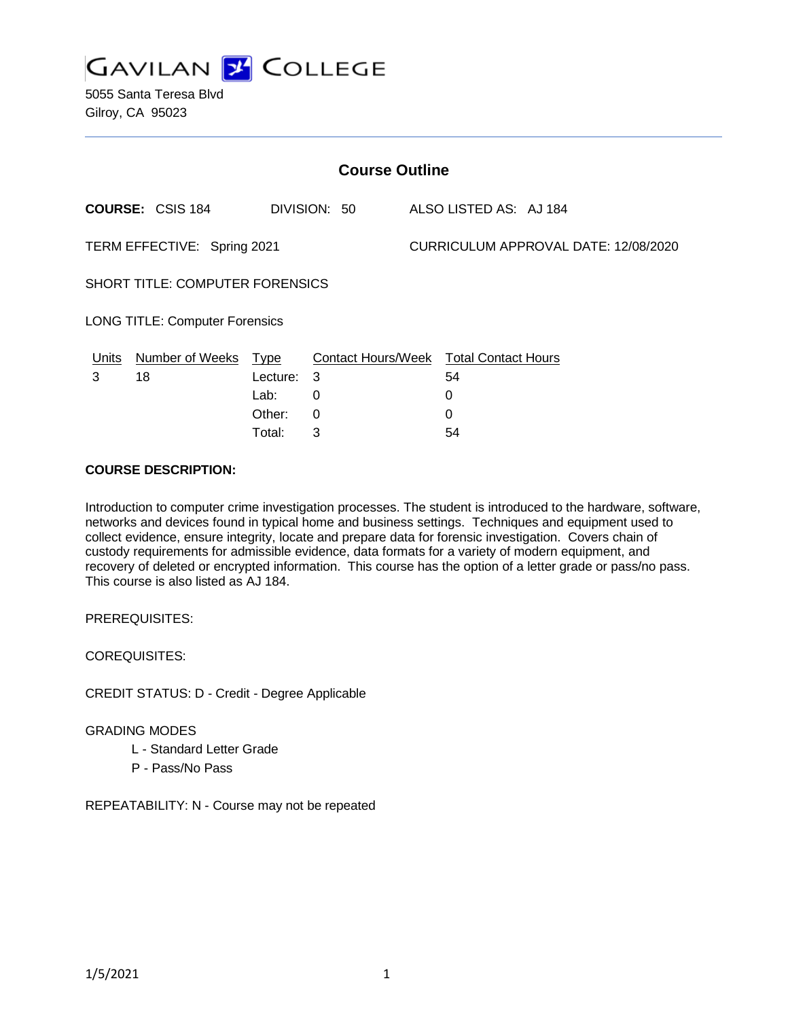

| <b>Course Outline</b>       |                                       |            |                                        |  |                                      |  |  |
|-----------------------------|---------------------------------------|------------|----------------------------------------|--|--------------------------------------|--|--|
|                             | <b>COURSE: CSIS 184</b>               |            | DIVISION: 50                           |  | ALSO LISTED AS: AJ 184               |  |  |
| TERM EFFECTIVE: Spring 2021 |                                       |            |                                        |  | CURRICULUM APPROVAL DATE: 12/08/2020 |  |  |
|                             | SHORT TITLE: COMPUTER FORENSICS       |            |                                        |  |                                      |  |  |
|                             | <b>LONG TITLE: Computer Forensics</b> |            |                                        |  |                                      |  |  |
| Units                       | Number of Weeks Type                  |            | Contact Hours/Week Total Contact Hours |  |                                      |  |  |
| 3                           | 18                                    | Lecture: 3 |                                        |  | 54                                   |  |  |
|                             |                                       | Lab:       | 0                                      |  | 0                                    |  |  |
|                             |                                       | Other:     | 0                                      |  | 0                                    |  |  |
|                             |                                       | Total:     | 3                                      |  | 54                                   |  |  |

#### **COURSE DESCRIPTION:**

Introduction to computer crime investigation processes. The student is introduced to the hardware, software, networks and devices found in typical home and business settings. Techniques and equipment used to collect evidence, ensure integrity, locate and prepare data for forensic investigation. Covers chain of custody requirements for admissible evidence, data formats for a variety of modern equipment, and recovery of deleted or encrypted information. This course has the option of a letter grade or pass/no pass. This course is also listed as AJ 184.

PREREQUISITES:

COREQUISITES:

CREDIT STATUS: D - Credit - Degree Applicable

#### GRADING MODES

- L Standard Letter Grade
- P Pass/No Pass

REPEATABILITY: N - Course may not be repeated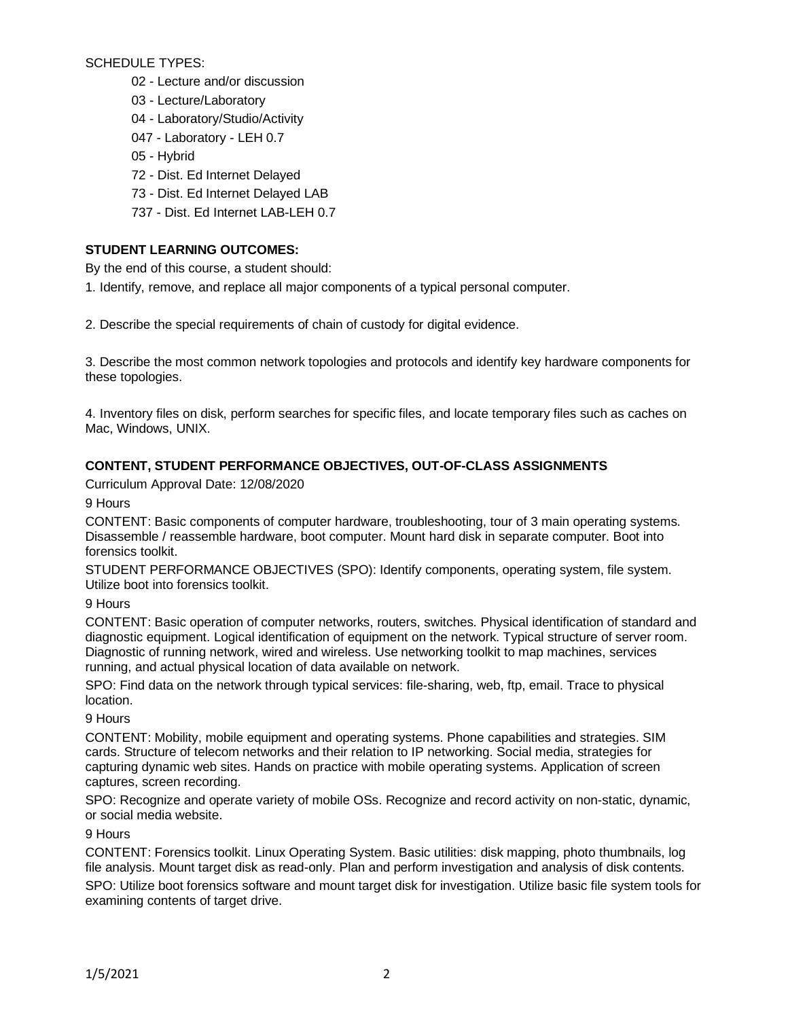SCHEDULE TYPES:

- 02 Lecture and/or discussion
- 03 Lecture/Laboratory
- 04 Laboratory/Studio/Activity
- 047 Laboratory LEH 0.7
- 05 Hybrid
- 72 Dist. Ed Internet Delayed
- 73 Dist. Ed Internet Delayed LAB
- 737 Dist. Ed Internet LAB-LEH 0.7

# **STUDENT LEARNING OUTCOMES:**

By the end of this course, a student should:

1. Identify, remove, and replace all major components of a typical personal computer.

2. Describe the special requirements of chain of custody for digital evidence.

3. Describe the most common network topologies and protocols and identify key hardware components for these topologies.

4. Inventory files on disk, perform searches for specific files, and locate temporary files such as caches on Mac, Windows, UNIX.

# **CONTENT, STUDENT PERFORMANCE OBJECTIVES, OUT-OF-CLASS ASSIGNMENTS**

Curriculum Approval Date: 12/08/2020

9 Hours

CONTENT: Basic components of computer hardware, troubleshooting, tour of 3 main operating systems. Disassemble / reassemble hardware, boot computer. Mount hard disk in separate computer. Boot into forensics toolkit.

STUDENT PERFORMANCE OBJECTIVES (SPO): Identify components, operating system, file system. Utilize boot into forensics toolkit.

9 Hours

CONTENT: Basic operation of computer networks, routers, switches. Physical identification of standard and diagnostic equipment. Logical identification of equipment on the network. Typical structure of server room. Diagnostic of running network, wired and wireless. Use networking toolkit to map machines, services running, and actual physical location of data available on network.

SPO: Find data on the network through typical services: file-sharing, web, ftp, email. Trace to physical location.

9 Hours

CONTENT: Mobility, mobile equipment and operating systems. Phone capabilities and strategies. SIM cards. Structure of telecom networks and their relation to IP networking. Social media, strategies for capturing dynamic web sites. Hands on practice with mobile operating systems. Application of screen captures, screen recording.

SPO: Recognize and operate variety of mobile OSs. Recognize and record activity on non-static, dynamic, or social media website.

9 Hours

CONTENT: Forensics toolkit. Linux Operating System. Basic utilities: disk mapping, photo thumbnails, log file analysis. Mount target disk as read-only. Plan and perform investigation and analysis of disk contents. SPO: Utilize boot forensics software and mount target disk for investigation. Utilize basic file system tools for examining contents of target drive.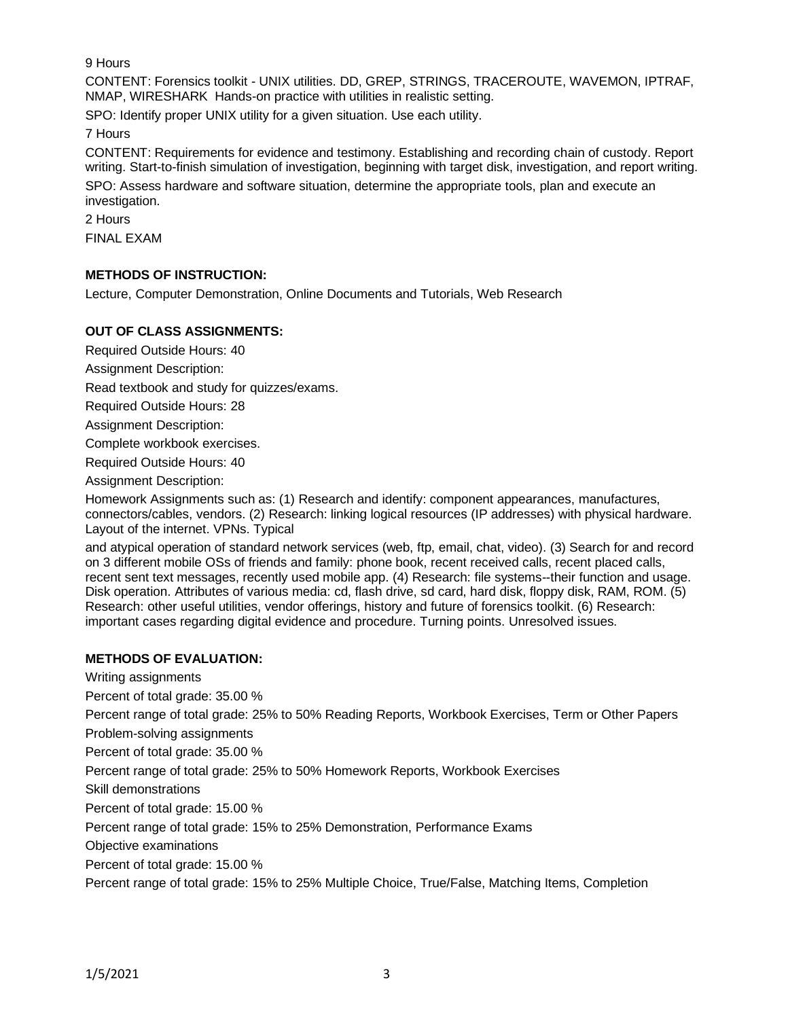### 9 Hours

CONTENT: Forensics toolkit - UNIX utilities. DD, GREP, STRINGS, TRACEROUTE, WAVEMON, IPTRAF, NMAP, WIRESHARK Hands-on practice with utilities in realistic setting.

SPO: Identify proper UNIX utility for a given situation. Use each utility.

7 Hours

CONTENT: Requirements for evidence and testimony. Establishing and recording chain of custody. Report writing. Start-to-finish simulation of investigation, beginning with target disk, investigation, and report writing. SPO: Assess hardware and software situation, determine the appropriate tools, plan and execute an investigation.

2 Hours FINAL EXAM

# **METHODS OF INSTRUCTION:**

Lecture, Computer Demonstration, Online Documents and Tutorials, Web Research

## **OUT OF CLASS ASSIGNMENTS:**

Required Outside Hours: 40

Assignment Description:

Read textbook and study for quizzes/exams.

Required Outside Hours: 28

Assignment Description:

Complete workbook exercises.

Required Outside Hours: 40

Assignment Description:

Homework Assignments such as: (1) Research and identify: component appearances, manufactures, connectors/cables, vendors. (2) Research: linking logical resources (IP addresses) with physical hardware. Layout of the internet. VPNs. Typical

and atypical operation of standard network services (web, ftp, email, chat, video). (3) Search for and record on 3 different mobile OSs of friends and family: phone book, recent received calls, recent placed calls, recent sent text messages, recently used mobile app. (4) Research: file systems--their function and usage. Disk operation. Attributes of various media: cd, flash drive, sd card, hard disk, floppy disk, RAM, ROM. (5) Research: other useful utilities, vendor offerings, history and future of forensics toolkit. (6) Research: important cases regarding digital evidence and procedure. Turning points. Unresolved issues.

### **METHODS OF EVALUATION:**

Writing assignments

Percent of total grade: 35.00 %

Percent range of total grade: 25% to 50% Reading Reports, Workbook Exercises, Term or Other Papers

Problem-solving assignments

Percent of total grade: 35.00 %

Percent range of total grade: 25% to 50% Homework Reports, Workbook Exercises

Skill demonstrations

Percent of total grade: 15.00 %

Percent range of total grade: 15% to 25% Demonstration, Performance Exams

Objective examinations

Percent of total grade: 15.00 %

Percent range of total grade: 15% to 25% Multiple Choice, True/False, Matching Items, Completion